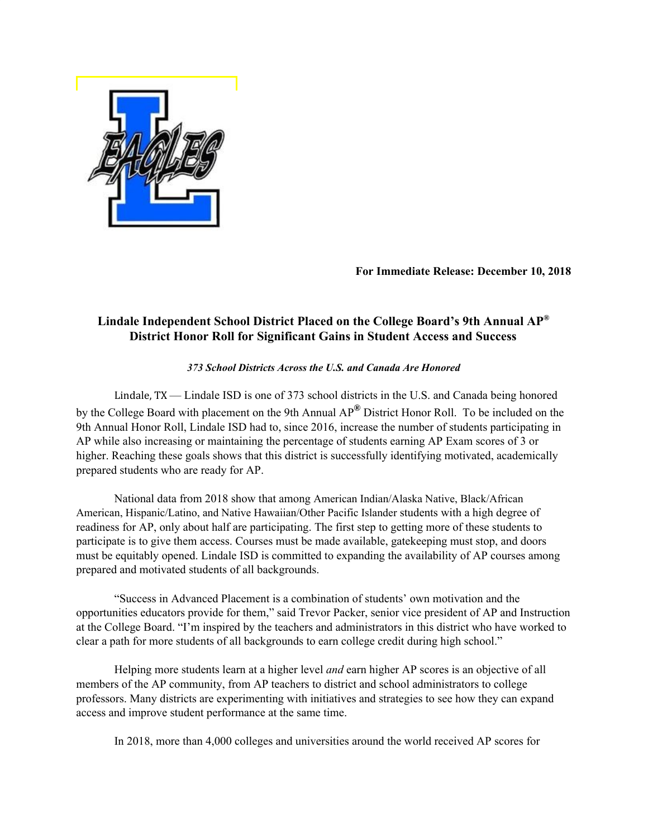

**For Immediate Release: December 10, 2018**

## **Lindale Independent School District Placed on the College Board's 9th Annual AP® District Honor Roll for Significant Gains in Student Access and Success**

## *373 School Districts Across the U.S. and Canada Are Honored*

Lindale, TX — Lindale ISD is one of 373 school districts in the U.S. and Canada being honored by the College Board with placement on the 9th Annual AP **®** District Honor Roll. To be included on the 9th Annual Honor Roll, Lindale ISD had to, since 2016, increase the number of students participating in AP while also increasing or maintaining the percentage of students earning AP Exam scores of 3 or higher. Reaching these goals shows that this district is successfully identifying motivated, academically prepared students who are ready for AP.

National data from 2018 show that among American Indian/Alaska Native, Black/African American, Hispanic/Latino, and Native Hawaiian/Other Pacific Islander students with a high degree of readiness for AP, only about half are participating. The first step to getting more of these students to participate is to give them access. Courses must be made available, gatekeeping must stop, and doors must be equitably opened. Lindale ISD is committed to expanding the availability of AP courses among prepared and motivated students of all backgrounds.

"Success in Advanced Placement is a combination of students' own motivation and the opportunities educators provide for them," said Trevor Packer, senior vice president of AP and Instruction at the College Board. "I'm inspired by the teachers and administrators in this district who have worked to clear a path for more students of all backgrounds to earn college credit during high school."

Helping more students learn at a higher level *and* earn higher AP scores is an objective of all members of the AP community, from AP teachers to district and school administrators to college professors. Many districts are experimenting with initiatives and strategies to see how they can expand access and improve student performance at the same time.

In 2018, more than 4,000 colleges and universities around the world received AP scores for